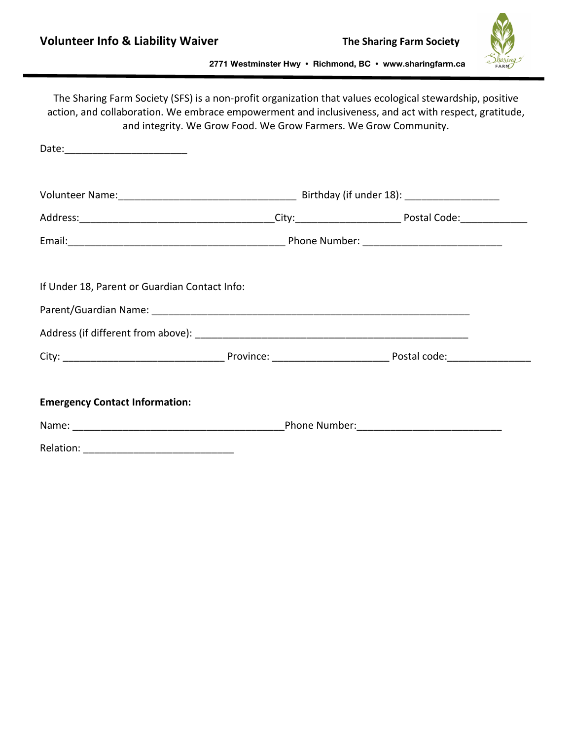

|                                               |  | The Sharing Farm Society (SFS) is a non-profit organization that values ecological stewardship, positive<br>action, and collaboration. We embrace empowerment and inclusiveness, and act with respect, gratitude,<br>and integrity. We Grow Food. We Grow Farmers. We Grow Community. |  |
|-----------------------------------------------|--|---------------------------------------------------------------------------------------------------------------------------------------------------------------------------------------------------------------------------------------------------------------------------------------|--|
|                                               |  |                                                                                                                                                                                                                                                                                       |  |
|                                               |  |                                                                                                                                                                                                                                                                                       |  |
|                                               |  |                                                                                                                                                                                                                                                                                       |  |
|                                               |  |                                                                                                                                                                                                                                                                                       |  |
| If Under 18, Parent or Guardian Contact Info: |  |                                                                                                                                                                                                                                                                                       |  |
|                                               |  |                                                                                                                                                                                                                                                                                       |  |
| <b>Emergency Contact Information:</b>         |  |                                                                                                                                                                                                                                                                                       |  |
|                                               |  |                                                                                                                                                                                                                                                                                       |  |
|                                               |  |                                                                                                                                                                                                                                                                                       |  |